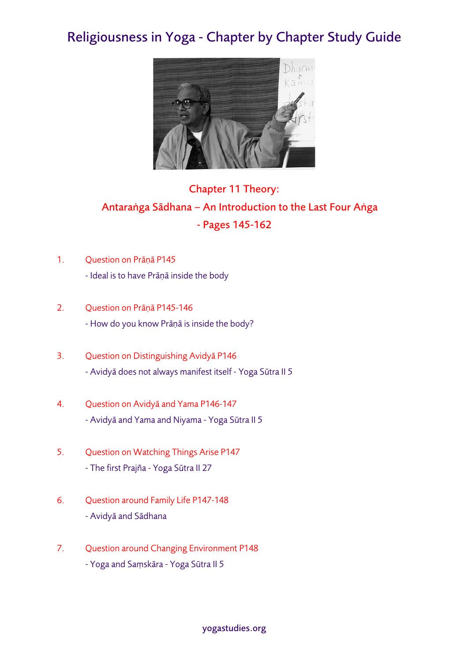## Religiousness in Yoga - Chapter by Chapter Study Guide



## Chapter 11 Theory: Antaraṅga Sādhana – An Introduction to the Last Four Aṅga - Pages 145-162

- 1. Question on Prāṇā P145 - Ideal is to have Prāṇā inside the body
- 2. Question on Prāṇā P145-146 - How do you know Prāṇā is inside the body?
- 3. Question on Distinguishing Avidyā P146 - Avidyā does not always manifest itself - Yoga Sūtra II 5
- 4. Question on Avidyā and Yama P146-147 - Avidyā and Yama and Niyama - Yoga Sūtra II 5
- 5. Question on Watching Things Arise P147 - The first Prajña - Yoga Sūtra II 27
- 6. Question around Family Life P147-148 - Avidyā and Sādhana
- 7. Question around Changing Environment P148 - Yoga and Saṃskāra - Yoga Sūtra II 5

yogastudies.org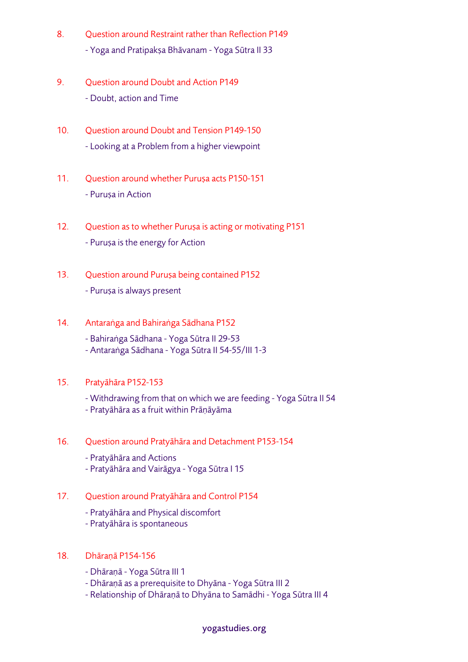- 8. Question around Restraint rather than Reflection P149 - Yoga and Pratipakṣa Bhāvanam - Yoga Sūtra II 33
- 9. Question around Doubt and Action P149 - Doubt, action and Time
- 10. Ouestion around Doubt and Tension P149-150 - Looking at a Problem from a higher viewpoint
- 11. Question around whether Purusa acts P150-151 - Puruṣa in Action
- 12. Question as to whether Puruṣa is acting or motivating P151 - Puruṣa is the energy for Action
- 13. Question around Puruṣa being contained P152 - Puruṣa is always present
- 14. Antaraṅga and Bahiraṅga Sādhana P152
	- Bahiraṅga Sādhana Yoga Sūtra II 29-53
	- Antaraṅga Sādhana Yoga Sūtra II 54-55/III 1-3

## 15. Pratyāhāra P152-153

- Withdrawing from that on which we are feeding Yoga Sūtra II 54
- Pratyāhāra as a fruit within Prāṇāyāma
- 16. Question around Pratyāhāra and Detachment P153-154
	- Pratyāhāra and Actions
	- Pratyāhāra and Vairāgya Yoga Sūtra I 15
- 17. Question around Pratyāhāra and Control P154
	- Pratyāhāra and Physical discomfort
	- Pratyāhāra is spontaneous
- 18. Dhāraṇā P154-156
	- Dhāraṇā Yoga Sūtra III 1
	- Dhāraṇā as a prerequisite to Dhyāna Yoga Sūtra III 2
	- Relationship of Dhāraṇā to Dhyāna to Samādhi Yoga Sūtra III 4

## yogastudies.org